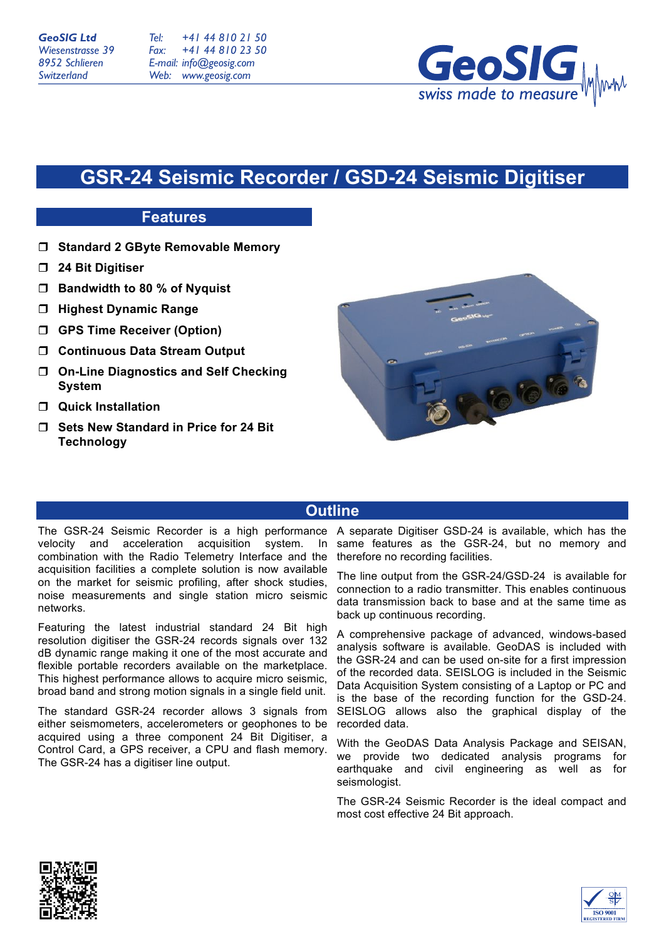*Tel: Fax: E-mail: info@geosig.com Web: www.geosig.com +41 44 810 21 50 +41 44 810 23 50*



# **GSR-24 Seismic Recorder / GSD-24 Seismic Digitiser**

## **Features**

- ! **Standard 2 GByte Removable Memory**
- ! **24 Bit Digitiser**
- ! **Bandwidth to 80 % of Nyquist**
- ! **Highest Dynamic Range**
- ! **GPS Time Receiver (Option)**
- ! **Continuous Data Stream Output**
- □ On-Line Diagnostics and Self Checking **System**
- ! **Quick Installation**
- ! **Sets New Standard in Price for 24 Bit Technology**



## **Outline**

The GSR-24 Seismic Recorder is a high performance velocity and acceleration acquisition system. In combination with the Radio Telemetry Interface and the acquisition facilities a complete solution is now available on the market for seismic profiling, after shock studies, noise measurements and single station micro seismic networks.

Featuring the latest industrial standard 24 Bit high resolution digitiser the GSR-24 records signals over 132 dB dynamic range making it one of the most accurate and flexible portable recorders available on the marketplace. This highest performance allows to acquire micro seismic, broad band and strong motion signals in a single field unit.

The standard GSR-24 recorder allows 3 signals from either seismometers, accelerometers or geophones to be acquired using a three component 24 Bit Digitiser, a Control Card, a GPS receiver, a CPU and flash memory. The GSR-24 has a digitiser line output.

A separate Digitiser GSD-24 is available, which has the same features as the GSR-24, but no memory and therefore no recording facilities.

The line output from the GSR-24/GSD-24 is available for connection to a radio transmitter. This enables continuous data transmission back to base and at the same time as back up continuous recording.

A comprehensive package of advanced, windows-based analysis software is available. GeoDAS is included with the GSR-24 and can be used on-site for a first impression of the recorded data. SEISLOG is included in the Seismic Data Acquisition System consisting of a Laptop or PC and is the base of the recording function for the GSD-24. SEISLOG allows also the graphical display of the recorded data.

With the GeoDAS Data Analysis Package and SEISAN, we provide two dedicated analysis programs for earthquake and civil engineering as well as for seismologist.

The GSR-24 Seismic Recorder is the ideal compact and most cost effective 24 Bit approach.